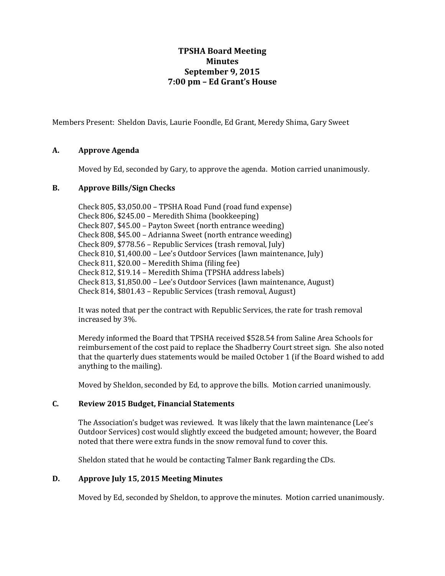# **TPSHA Board Meeting Minutes September 9, 2015 7:00 pm – Ed Grant's House**

Members Present: Sheldon Davis, Laurie Foondle, Ed Grant, Meredy Shima, Gary Sweet

## **A. Approve Agenda**

Moved by Ed, seconded by Gary, to approve the agenda. Motion carried unanimously.

## **B. Approve Bills/Sign Checks**

Check 805, \$3,050.00 – TPSHA Road Fund (road fund expense) Check 806, \$245.00 – Meredith Shima (bookkeeping) Check 807, \$45.00 – Payton Sweet (north entrance weeding) Check 808, \$45.00 – Adrianna Sweet (north entrance weeding) Check 809, \$778.56 – Republic Services (trash removal, July) Check 810, \$1,400.00 – Lee's Outdoor Services (lawn maintenance, July) Check 811, \$20.00 – Meredith Shima (filing fee) Check 812, \$19.14 – Meredith Shima (TPSHA address labels) Check 813, \$1,850.00 – Lee's Outdoor Services (lawn maintenance, August) Check 814, \$801.43 – Republic Services (trash removal, August)

It was noted that per the contract with Republic Services, the rate for trash removal increased by 3%.

Meredy informed the Board that TPSHA received \$528.54 from Saline Area Schools for reimbursement of the cost paid to replace the Shadberry Court street sign. She also noted that the quarterly dues statements would be mailed October 1 (if the Board wished to add anything to the mailing).

Moved by Sheldon, seconded by Ed, to approve the bills. Motion carried unanimously.

# **C. Review 2015 Budget, Financial Statements**

The Association's budget was reviewed. It was likely that the lawn maintenance (Lee's Outdoor Services) cost would slightly exceed the budgeted amount; however, the Board noted that there were extra funds in the snow removal fund to cover this.

Sheldon stated that he would be contacting Talmer Bank regarding the CDs.

#### **D. Approve July 15, 2015 Meeting Minutes**

Moved by Ed, seconded by Sheldon, to approve the minutes. Motion carried unanimously.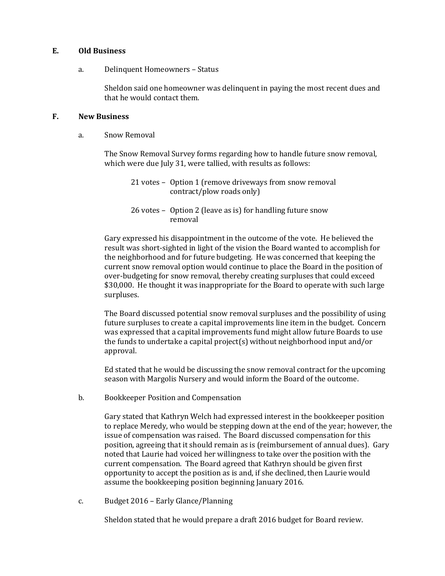#### **E. Old Business**

#### a. Delinquent Homeowners – Status

Sheldon said one homeowner was delinquent in paying the most recent dues and that he would contact them.

#### **F. New Business**

a. Snow Removal

The Snow Removal Survey forms regarding how to handle future snow removal, which were due July 31, were tallied, with results as follows:

21 votes – Option 1 (remove driveways from snow removal contract/plow roads only)

26 votes – Option 2 (leave as is) for handling future snow removal

Gary expressed his disappointment in the outcome of the vote. He believed the result was short-sighted in light of the vision the Board wanted to accomplish for the neighborhood and for future budgeting. He was concerned that keeping the current snow removal option would continue to place the Board in the position of over-budgeting for snow removal, thereby creating surpluses that could exceed \$30,000. He thought it was inappropriate for the Board to operate with such large surpluses.

The Board discussed potential snow removal surpluses and the possibility of using future surpluses to create a capital improvements line item in the budget. Concern was expressed that a capital improvements fund might allow future Boards to use the funds to undertake a capital project(s) without neighborhood input and/or approval.

Ed stated that he would be discussing the snow removal contract for the upcoming season with Margolis Nursery and would inform the Board of the outcome.

b. Bookkeeper Position and Compensation

Gary stated that Kathryn Welch had expressed interest in the bookkeeper position to replace Meredy, who would be stepping down at the end of the year; however, the issue of compensation was raised. The Board discussed compensation for this position, agreeing that it should remain as is (reimbursement of annual dues). Gary noted that Laurie had voiced her willingness to take over the position with the current compensation. The Board agreed that Kathryn should be given first opportunity to accept the position as is and, if she declined, then Laurie would assume the bookkeeping position beginning January 2016.

c. Budget 2016 – Early Glance/Planning

Sheldon stated that he would prepare a draft 2016 budget for Board review.